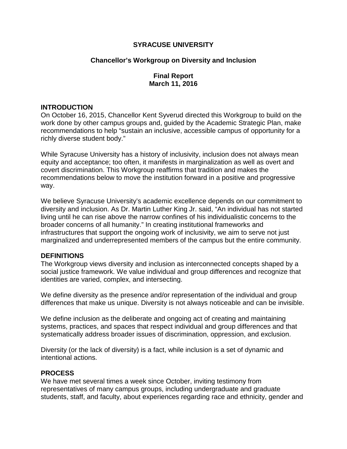## **SYRACUSE UNIVERSITY**

# **Chancellor's Workgroup on Diversity and Inclusion**

# **Final Report March 11, 2016**

#### **INTRODUCTION**

On October 16, 2015, Chancellor Kent Syverud directed this Workgroup to build on the work done by other campus groups and, guided by the Academic Strategic Plan, make recommendations to help "sustain an inclusive, accessible campus of opportunity for a richly diverse student body."

While Syracuse University has a history of inclusivity, inclusion does not always mean equity and acceptance; too often, it manifests in marginalization as well as overt and covert discrimination. This Workgroup reaffirms that tradition and makes the recommendations below to move the institution forward in a positive and progressive way.

We believe Syracuse University's academic excellence depends on our commitment to diversity and inclusion. As Dr. Martin Luther King Jr. said, "An individual has not started living until he can rise above the narrow confines of his individualistic concerns to the broader concerns of all humanity." In creating institutional frameworks and infrastructures that support the ongoing work of inclusivity, we aim to serve not just marginalized and underrepresented members of the campus but the entire community.

## **DEFINITIONS**

The Workgroup views diversity and inclusion as interconnected concepts shaped by a social justice framework. We value individual and group differences and recognize that identities are varied, complex, and intersecting.

We define diversity as the presence and/or representation of the individual and group differences that make us unique. Diversity is not always noticeable and can be invisible.

We define inclusion as the deliberate and ongoing act of creating and maintaining systems, practices, and spaces that respect individual and group differences and that systematically address broader issues of discrimination, oppression, and exclusion.

Diversity (or the lack of diversity) is a fact, while inclusion is a set of dynamic and intentional actions.

## **PROCESS**

We have met several times a week since October, inviting testimony from representatives of many campus groups, including undergraduate and graduate students, staff, and faculty, about experiences regarding race and ethnicity, gender and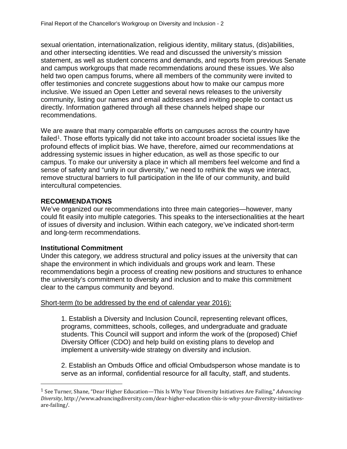sexual orientation, internationalization, religious identity, military status, (dis)abilities, and other intersecting identities. We read and discussed the university's mission statement, as well as student concerns and demands, and reports from previous Senate and campus workgroups that made recommendations around these issues. We also held two open campus forums, where all members of the community were invited to offer testimonies and concrete suggestions about how to make our campus more inclusive. We issued an Open Letter and several news releases to the university community, listing our names and email addresses and inviting people to contact us directly. Information gathered through all these channels helped shape our recommendations.

We are aware that many comparable efforts on campuses across the country have failed<sup>1</sup>. Those efforts typically did not take into account broader societal issues like the profound effects of implicit bias. We have, therefore, aimed our recommendations at addressing systemic issues in higher education, as well as those specific to our campus. To make our university a place in which all members feel welcome and find a sense of safety and "unity in our diversity," we need to rethink the ways we interact, remove structural barriers to full participation in the life of our community, and build intercultural competencies.

## **RECOMMENDATIONS**

We've organized our recommendations into three main categories—however, many could fit easily into multiple categories. This speaks to the intersectionalities at the heart of issues of diversity and inclusion. Within each category, we've indicated short-term and long-term recommendations.

## **Institutional Commitment**

Under this category, we address structural and policy issues at the university that can shape the environment in which individuals and groups work and learn. These recommendations begin a process of creating new positions and structures to enhance the university's commitment to diversity and inclusion and to make this commitment clear to the campus community and beyond.

## Short-term (to be addressed by the end of calendar year 2016):

1. Establish a Diversity and Inclusion Council, representing relevant offices, programs, committees, schools, colleges, and undergraduate and graduate students. This Council will support and inform the work of the (proposed) Chief Diversity Officer (CDO) and help build on existing plans to develop and implement a university-wide strategy on diversity and inclusion.

2. Establish an Ombuds Office and official Ombudsperson whose mandate is to serve as an informal, confidential resource for all faculty, staff, and students.

<span id="page-1-0"></span> <sup>1</sup> See Turner, Shane, "Dear Higher Education—This Is Why Your Diversity Initiatives Are Failing," *Advancing Diversity*, http://www.advancingdiversity.com/dear-higher-education-this-is-why-your-diversity-initiativesare-failing/.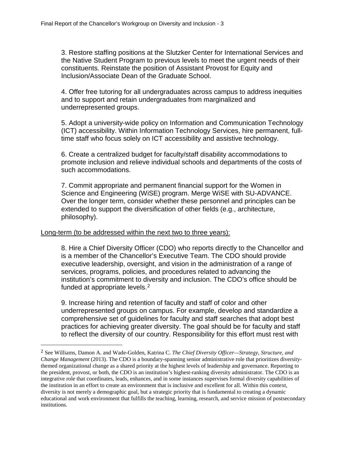3. Restore staffing positions at the Slutzker Center for International Services and the Native Student Program to previous levels to meet the urgent needs of their constituents. Reinstate the position of Assistant Provost for Equity and Inclusion/Associate Dean of the Graduate School.

4. Offer free tutoring for all undergraduates across campus to address inequities and to support and retain undergraduates from marginalized and underrepresented groups.

5. Adopt a university-wide policy on Information and Communication Technology (ICT) accessibility. Within Information Technology Services, hire permanent, fulltime staff who focus solely on ICT accessibility and assistive technology.

6. Create a centralized budget for faculty/staff disability accommodations to promote inclusion and relieve individual schools and departments of the costs of such accommodations.

7. Commit appropriate and permanent financial support for the Women in Science and Engineering (WiSE) program. Merge WiSE with SU-ADVANCE. Over the longer term, consider whether these personnel and principles can be extended to support the diversification of other fields (e.g., architecture, philosophy).

## Long-term (to be addressed within the next two to three years):

8. Hire a Chief Diversity Officer (CDO) who reports directly to the Chancellor and is a member of the Chancellor's Executive Team. The CDO should provide executive leadership, oversight, and vision in the administration of a range of services, programs, policies, and procedures related to advancing the institution's commitment to diversity and inclusion. The CDO's office should be funded at appropriate levels.<sup>[2](#page-2-0)</sup>

9. Increase hiring and retention of faculty and staff of color and other underrepresented groups on campus. For example, develop and standardize a comprehensive set of guidelines for faculty and staff searches that adopt best practices for achieving greater diversity. The goal should be for faculty and staff to reflect the diversity of our country. Responsibility for this effort must rest with

<span id="page-2-0"></span> <sup>2</sup> See Williams, Damon A. and Wade-Golden, Katrina C. *The Chief Diversity Officer—Strategy, Structure, and Change Management* (2013). The CDO is a boundary-spanning senior administrative role that prioritizes diversitythemed organizational change as a shared priority at the highest levels of leadership and governance. Reporting to the president, provost, or both, the CDO is an institution's highest-ranking diversity administrator. The CDO is an integrative role that coordinates, leads, enhances, and in some instances supervises formal diversity capabilities of the institution in an effort to create an environment that is inclusive and excellent for all. Within this context, diversity is not merely a demographic goal, but a strategic priority that is fundamental to creating a dynamic educational and work environment that fulfills the teaching, learning, research, and service mission of postsecondary institutions.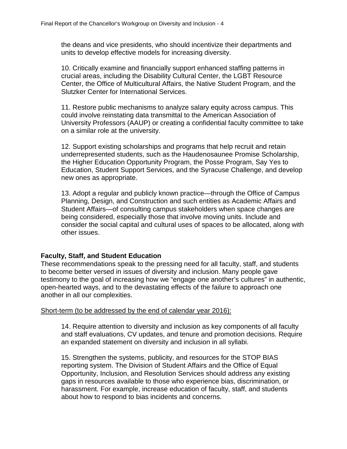the deans and vice presidents, who should incentivize their departments and units to develop effective models for increasing diversity.

10. Critically examine and financially support enhanced staffing patterns in crucial areas, including the Disability Cultural Center, the LGBT Resource Center, the Office of Multicultural Affairs, the Native Student Program, and the Slutzker Center for International Services.

11. Restore public mechanisms to analyze salary equity across campus. This could involve reinstating data transmittal to the American Association of University Professors (AAUP) or creating a confidential faculty committee to take on a similar role at the university.

12. Support existing scholarships and programs that help recruit and retain underrepresented students, such as the Haudenosaunee Promise Scholarship, the Higher Education Opportunity Program, the Posse Program, Say Yes to Education, Student Support Services, and the Syracuse Challenge, and develop new ones as appropriate.

13. Adopt a regular and publicly known practice—through the Office of Campus Planning, Design, and Construction and such entities as Academic Affairs and Student Affairs—of consulting campus stakeholders when space changes are being considered, especially those that involve moving units. Include and consider the social capital and cultural uses of spaces to be allocated, along with other issues.

## **Faculty, Staff, and Student Education**

These recommendations speak to the pressing need for all faculty, staff, and students to become better versed in issues of diversity and inclusion. Many people gave testimony to the goal of increasing how we "engage one another's cultures" in authentic, open-hearted ways, and to the devastating effects of the failure to approach one another in all our complexities.

## Short-term (to be addressed by the end of calendar year 2016):

14. Require attention to diversity and inclusion as key components of all faculty and staff evaluations, CV updates, and tenure and promotion decisions. Require an expanded statement on diversity and inclusion in all syllabi.

15. Strengthen the systems, publicity, and resources for the STOP BIAS reporting system. The Division of Student Affairs and the Office of Equal Opportunity, Inclusion, and Resolution Services should address any existing gaps in resources available to those who experience bias, discrimination, or harassment. For example, increase education of faculty, staff, and students about how to respond to bias incidents and concerns.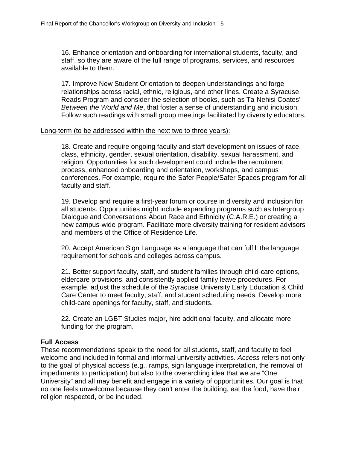16. Enhance orientation and onboarding for international students, faculty, and staff, so they are aware of the full range of programs, services, and resources available to them.

17. Improve New Student Orientation to deepen understandings and forge relationships across racial, ethnic, religious, and other lines. Create a Syracuse Reads Program and consider the selection of books, such as Ta-Nehisi Coates' *Between the World and Me*, that foster a sense of understanding and inclusion. Follow such readings with small group meetings facilitated by diversity educators.

#### Long-term (to be addressed within the next two to three years):

18. Create and require ongoing faculty and staff development on issues of race, class, ethnicity, gender, sexual orientation, disability, sexual harassment, and religion. Opportunities for such development could include the recruitment process, enhanced onboarding and orientation, workshops, and campus conferences. For example, require the Safer People/Safer Spaces program for all faculty and staff.

19. Develop and require a first-year forum or course in diversity and inclusion for all students. Opportunities might include expanding programs such as Intergroup Dialogue and Conversations About Race and Ethnicity (C.A.R.E.) or creating a new campus-wide program. Facilitate more diversity training for resident advisors and members of the Office of Residence Life.

20. Accept American Sign Language as a language that can fulfill the language requirement for schools and colleges across campus.

21. Better support faculty, staff, and student families through child-care options, eldercare provisions, and consistently applied family leave procedures. For example, adjust the schedule of the Syracuse University Early Education & Child Care Center to meet faculty, staff, and student scheduling needs. Develop more child-care openings for faculty, staff, and students.

22. Create an LGBT Studies major, hire additional faculty, and allocate more funding for the program.

## **Full Access**

These recommendations speak to the need for all students, staff, and faculty to feel welcome and included in formal and informal university activities. *Access* refers not only to the goal of physical access (e.g., ramps, sign language interpretation, the removal of impediments to participation) but also to the overarching idea that we are "One University" and all may benefit and engage in a variety of opportunities. Our goal is that no one feels unwelcome because they can't enter the building, eat the food, have their religion respected, or be included.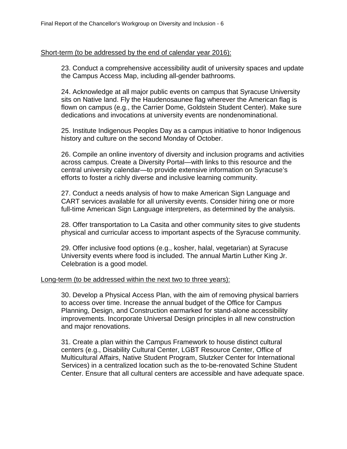#### Short-term (to be addressed by the end of calendar year 2016):

23. Conduct a comprehensive accessibility audit of university spaces and update the Campus Access Map, including all-gender bathrooms.

24. Acknowledge at all major public events on campus that Syracuse University sits on Native land. Fly the Haudenosaunee flag wherever the American flag is flown on campus (e.g., the Carrier Dome, Goldstein Student Center). Make sure dedications and invocations at university events are nondenominational.

25. Institute Indigenous Peoples Day as a campus initiative to honor Indigenous history and culture on the second Monday of October.

26. Compile an online inventory of diversity and inclusion programs and activities across campus. Create a Diversity Portal—with links to this resource and the central university calendar—to provide extensive information on Syracuse's efforts to foster a richly diverse and inclusive learning community.

27. Conduct a needs analysis of how to make American Sign Language and CART services available for all university events. Consider hiring one or more full-time American Sign Language interpreters, as determined by the analysis.

28. Offer transportation to La Casita and other community sites to give students physical and curricular access to important aspects of the Syracuse community.

29. Offer inclusive food options (e.g., kosher, halal, vegetarian) at Syracuse University events where food is included. The annual Martin Luther King Jr. Celebration is a good model.

#### Long-term (to be addressed within the next two to three years):

30. Develop a Physical Access Plan, with the aim of removing physical barriers to access over time. Increase the annual budget of the Office for Campus Planning, Design, and Construction earmarked for stand-alone accessibility improvements. Incorporate Universal Design principles in all new construction and major renovations.

31. Create a plan within the Campus Framework to house distinct cultural centers (e.g., Disability Cultural Center, LGBT Resource Center, Office of Multicultural Affairs, Native Student Program, Slutzker Center for International Services) in a centralized location such as the to-be-renovated Schine Student Center. Ensure that all cultural centers are accessible and have adequate space.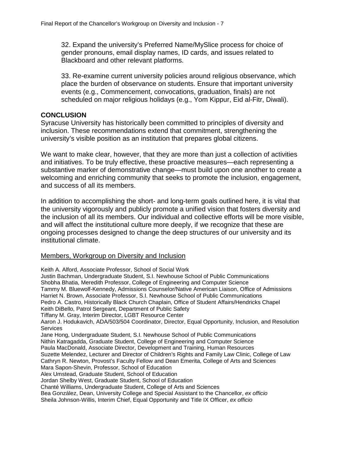32. Expand the university's Preferred Name/MySlice process for choice of gender pronouns, email display names, ID cards, and issues related to Blackboard and other relevant platforms.

33. Re-examine current university policies around religious observance, which place the burden of observance on students. Ensure that important university events (e.g., Commencement, convocations, graduation, finals) are not scheduled on major religious holidays (e.g., Yom Kippur, Eid al-Fitr, Diwali).

## **CONCLUSION**

Syracuse University has historically been committed to principles of diversity and inclusion. These recommendations extend that commitment, strengthening the university's visible position as an institution that prepares global citizens.

We want to make clear, however, that they are more than just a collection of activities and initiatives. To be truly effective, these proactive measures—each representing a substantive marker of demonstrative change—must build upon one another to create a welcoming and enriching community that seeks to promote the inclusion, engagement, and success of all its members.

In addition to accomplishing the short- and long-term goals outlined here, it is vital that the university vigorously and publicly promote a unified vision that fosters diversity and the inclusion of all its members. Our individual and collective efforts will be more visible, and will affect the institutional culture more deeply, if we recognize that these are ongoing processes designed to change the deep structures of our university and its institutional climate.

#### Members, Workgroup on Diversity and Inclusion

Keith A. Alford, Associate Professor, School of Social Work Justin Bachman, Undergraduate Student, S.I. Newhouse School of Public Communications Shobha Bhatia, Meredith Professor, College of Engineering and Computer Science Tammy M. Bluewolf-Kennedy, Admissions Counselor/Native American Liaison, Office of Admissions Harriet N. Brown, Associate Professor, S.I. Newhouse School of Public Communications Pedro A. Castro, Historically Black Church Chaplain, Office of Student Affairs/Hendricks Chapel Keith DiBello, Patrol Sergeant, Department of Public Safety Tiffany M. Gray, Interim Director, LGBT Resource Center Aaron J. Hodukavich, ADA/503/504 Coordinator, Director, Equal Opportunity, Inclusion, and Resolution **Services** Jane Hong, Undergraduate Student, S.I. Newhouse School of Public Communications Nithin Katragadda, Graduate Student, College of Engineering and Computer Science Paula MacDonald, Associate Director, Development and Training, Human Resources Suzette Melendez, Lecturer and Director of Children's Rights and Family Law Clinic, College of Law Cathryn R. Newton, Provost's Faculty Fellow and Dean Emerita, College of Arts and Sciences Mara Sapon-Shevin, Professor, School of Education Alex Umstead, Graduate Student, School of Education Jordan Shelby West, Graduate Student, School of Education Chanté Williams, Undergraduate Student, College of Arts and Sciences Bea González, Dean, University College and Special Assistant to the Chancellor, *ex officio* Sheila Johnson-Willis, Interim Chief, Equal Opportunity and Title IX Officer, *ex officio*